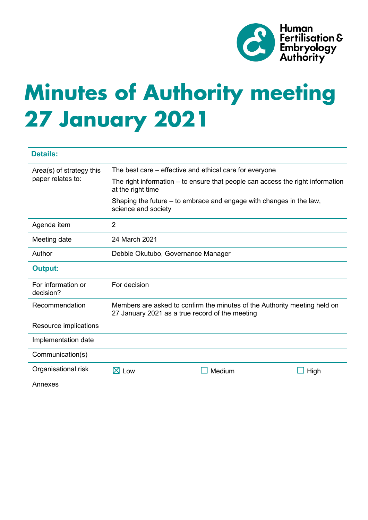

# **Minutes of Authority meeting 27 January 2021**

| <b>Details:</b>                               |                                                                                                                              |        |      |
|-----------------------------------------------|------------------------------------------------------------------------------------------------------------------------------|--------|------|
| Area(s) of strategy this<br>paper relates to: | The best care – effective and ethical care for everyone                                                                      |        |      |
|                                               | The right information – to ensure that people can access the right information<br>at the right time                          |        |      |
|                                               | Shaping the future – to embrace and engage with changes in the law,<br>science and society                                   |        |      |
| Agenda item                                   | $\overline{2}$                                                                                                               |        |      |
| Meeting date                                  | 24 March 2021                                                                                                                |        |      |
| Author                                        | Debbie Okutubo, Governance Manager                                                                                           |        |      |
| <b>Output:</b>                                |                                                                                                                              |        |      |
| For information or<br>decision?               | For decision                                                                                                                 |        |      |
| Recommendation                                | Members are asked to confirm the minutes of the Authority meeting held on<br>27 January 2021 as a true record of the meeting |        |      |
| Resource implications                         |                                                                                                                              |        |      |
| Implementation date                           |                                                                                                                              |        |      |
| Communication(s)                              |                                                                                                                              |        |      |
| Organisational risk                           | $\boxtimes$ Low                                                                                                              | Medium | High |
| Annexes                                       |                                                                                                                              |        |      |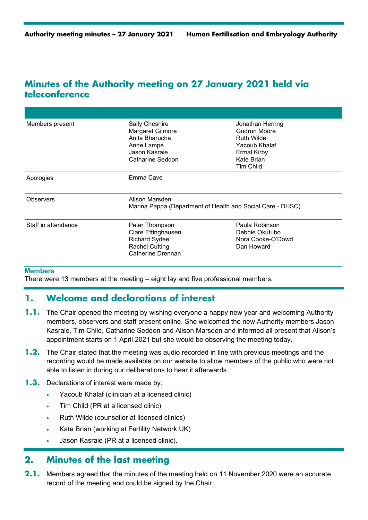# **Minutes of the Authority meeting on 27 January 2021 held via teleconference**

| Members present     | Sally Cheshire<br>Margaret Gilmore<br>Anita Bharucha<br>Anne Lampe<br>Jason Kasraje<br>Catharine Seddon    | Jonathan Herring<br>Gudrun Moore<br><b>Ruth Wilde</b><br>Yacoub Khalaf<br><b>Ermal Kirby</b><br>Kate Brian<br>Tim Child |
|---------------------|------------------------------------------------------------------------------------------------------------|-------------------------------------------------------------------------------------------------------------------------|
| Apologies           | Emma Cave                                                                                                  |                                                                                                                         |
| <b>Observers</b>    | Alison Marsden<br>Marina Pappa (Department of Health and Social Care - DHSC)                               |                                                                                                                         |
| Staff in attendance | Peter Thompson<br>Clare Ettinghausen<br><b>Richard Sydee</b><br><b>Rachel Cutting</b><br>Catherine Drennan | Paula Robinson<br>Debbie Okutubo<br>Nora Cooke-O'Dowd<br>Dan Howard                                                     |

#### **Members**

There were 13 members at the meeting – eight lay and five professional members.

## **1. Welcome and declarations of interest**

- **1.1.** The Chair opened the meeting by wishing everyone a happy new year and welcoming Authority members, observers and staff present online. She welcomed the new Authority members Jason Kasraie, Tim Child, Catharine Seddon and Alison Marsden and informed all present that Alison's appointment starts on 1 April 2021 but she would be observing the meeting today.
- **1.2.** The Chair stated that the meeting was audio recorded in line with previous meetings and the recording would be made available on our website to allow members of the public who were not able to listen in during our deliberations to hear it afterwards.
- **1.3.** Declarations of interest were made by:
	- Yacoub Khalaf (clinician at a licensed clinic)
	- Tim Child (PR at a licensed clinic)
	- Ruth Wilde (counsellor at licensed clinics)
	- Kate Brian (working at Fertility Network UK)
	- Jason Kasraie (PR at a licensed clinic).

## **2. Minutes of the last meeting**

**2.1.** Members agreed that the minutes of the meeting held on 11 November 2020 were an accurate record of the meeting and could be signed by the Chair.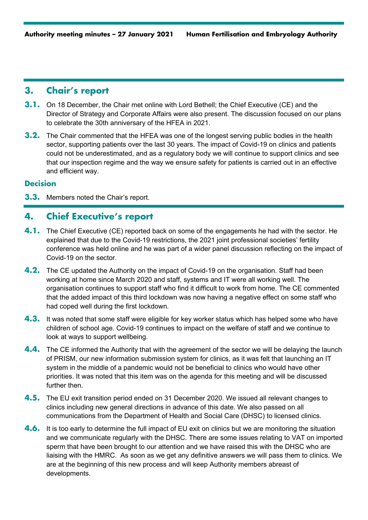# **3. Chair's report**

- **3.1.** On 18 December, the Chair met online with Lord Bethell; the Chief Executive (CE) and the Director of Strategy and Corporate Affairs were also present. The discussion focused on our plans to celebrate the 30th anniversary of the HFEA in 2021.
- **3.2.** The Chair commented that the HFEA was one of the longest serving public bodies in the health sector, supporting patients over the last 30 years. The impact of Covid-19 on clinics and patients could not be underestimated, and as a regulatory body we will continue to support clinics and see that our inspection regime and the way we ensure safety for patients is carried out in an effective and efficient way.

## **Decision**

**3.3.** Members noted the Chair's report.

# **4. Chief Executive's report**

- **4.1.** The Chief Executive (CE) reported back on some of the engagements he had with the sector. He explained that due to the Covid-19 restrictions, the 2021 joint professional societies' fertility conference was held online and he was part of a wider panel discussion reflecting on the impact of Covid-19 on the sector.
- **4.2.** The CE updated the Authority on the impact of Covid-19 on the organisation. Staff had been working at home since March 2020 and staff, systems and IT were all working well. The organisation continues to support staff who find it difficult to work from home. The CE commented that the added impact of this third lockdown was now having a negative effect on some staff who had coped well during the first lockdown.
- **4.3.** It was noted that some staff were eligible for key worker status which has helped some who have children of school age. Covid-19 continues to impact on the welfare of staff and we continue to look at ways to support wellbeing.
- **4.4.** The CE informed the Authority that with the agreement of the sector we will be delaying the launch of PRISM, our new information submission system for clinics, as it was felt that launching an IT system in the middle of a pandemic would not be beneficial to clinics who would have other priorities. It was noted that this item was on the agenda for this meeting and will be discussed further then.
- **4.5.** The EU exit transition period ended on 31 December 2020. We issued all relevant changes to clinics including new general directions in advance of this date. We also passed on all communications from the Department of Health and Social Care (DHSC) to licensed clinics.
- **4.6.** It is too early to determine the full impact of EU exit on clinics but we are monitoring the situation and we communicate regularly with the DHSC. There are some issues relating to VAT on imported sperm that have been brought to our attention and we have raised this with the DHSC who are liaising with the HMRC. As soon as we get any definitive answers we will pass them to clinics. We are at the beginning of this new process and will keep Authority members abreast of developments.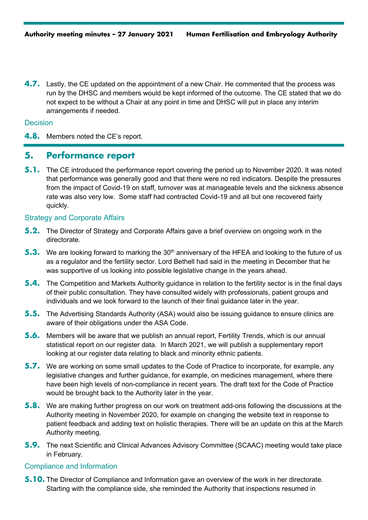**4.7.** Lastly, the CE updated on the appointment of a new Chair. He commented that the process was run by the DHSC and members would be kept informed of the outcome. The CE stated that we do not expect to be without a Chair at any point in time and DHSC will put in place any interim arrangements if needed.

#### **Decision**

**4.8.** Members noted the CE's report.

## **5. Performance report**

**5.1.** The CE introduced the performance report covering the period up to November 2020. It was noted that performance was generally good and that there were no red indicators. Despite the pressures from the impact of Covid-19 on staff, turnover was at manageable levels and the sickness absence rate was also very low. Some staff had contracted Covid-19 and all but one recovered fairly quickly.

#### Strategy and Corporate Affairs

- **5.2.** The Director of Strategy and Corporate Affairs gave a brief overview on ongoing work in the directorate.
- **5.3.** We are looking forward to marking the 30<sup>th</sup> anniversary of the HFEA and looking to the future of us as a regulator and the fertility sector. Lord Bethell had said in the meeting in December that he was supportive of us looking into possible legislative change in the years ahead.
- **5.4.** The Competition and Markets Authority guidance in relation to the fertility sector is in the final days of their public consultation. They have consulted widely with professionals, patient groups and individuals and we look forward to the launch of their final guidance later in the year.
- **5.5.** The Advertising Standards Authority (ASA) would also be issuing guidance to ensure clinics are aware of their obligations under the ASA Code.
- **5.6.** Members will be aware that we publish an annual report, Fertility Trends, which is our annual statistical report on our register data. In March 2021, we will publish a supplementary report looking at our register data relating to black and minority ethnic patients.
- **5.7.** We are working on some small updates to the Code of Practice to incorporate, for example, any legislative changes and further guidance, for example, on medicines management, where there have been high levels of non-compliance in recent years. The draft text for the Code of Practice would be brought back to the Authority later in the year.
- **5.8.** We are making further progress on our work on treatment add-ons following the discussions at the Authority meeting in November 2020, for example on changing the website text in response to patient feedback and adding text on holistic therapies. There will be an update on this at the March Authority meeting.
- **5.9.** The next Scientific and Clinical Advances Advisory Committee (SCAAC) meeting would take place in February.

#### Compliance and Information

**5.10.** The Director of Compliance and Information gave an overview of the work in her directorate. Starting with the compliance side, she reminded the Authority that inspections resumed in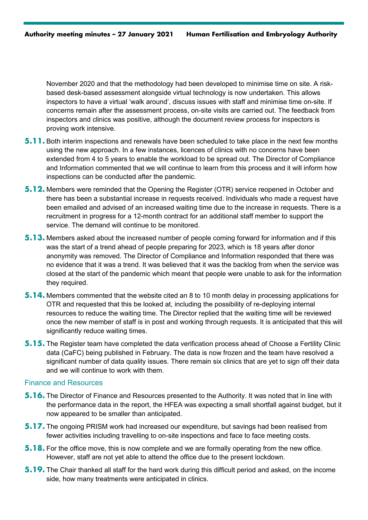November 2020 and that the methodology had been developed to minimise time on site. A riskbased desk-based assessment alongside virtual technology is now undertaken. This allows inspectors to have a virtual 'walk around', discuss issues with staff and minimise time on-site. If concerns remain after the assessment process, on-site visits are carried out. The feedback from inspectors and clinics was positive, although the document review process for inspectors is proving work intensive.

- **5.11.** Both interim inspections and renewals have been scheduled to take place in the next few months using the new approach. In a few instances, licences of clinics with no concerns have been extended from 4 to 5 years to enable the workload to be spread out. The Director of Compliance and Information commented that we will continue to learn from this process and it will inform how inspections can be conducted after the pandemic.
- **5.12.** Members were reminded that the Opening the Register (OTR) service reopened in October and there has been a substantial increase in requests received. Individuals who made a request have been emailed and advised of an increased waiting time due to the increase in requests. There is a recruitment in progress for a 12-month contract for an additional staff member to support the service. The demand will continue to be monitored.
- **5.13.** Members asked about the increased number of people coming forward for information and if this was the start of a trend ahead of people preparing for 2023, which is 18 years after donor anonymity was removed. The Director of Compliance and Information responded that there was no evidence that it was a trend. It was believed that it was the backlog from when the service was closed at the start of the pandemic which meant that people were unable to ask for the information they required.
- **5.14.** Members commented that the website cited an 8 to 10 month delay in processing applications for OTR and requested that this be looked at, including the possibility of re-deploying internal resources to reduce the waiting time. The Director replied that the waiting time will be reviewed once the new member of staff is in post and working through requests. It is anticipated that this will significantly reduce waiting times.
- **5.15.** The Register team have completed the data verification process ahead of Choose a Fertility Clinic data (CaFC) being published in February. The data is now frozen and the team have resolved a significant number of data quality issues. There remain six clinics that are yet to sign off their data and we will continue to work with them.

#### Finance and Resources

- **5.16.** The Director of Finance and Resources presented to the Authority. It was noted that in line with the performance data in the report, the HFEA was expecting a small shortfall against budget, but it now appeared to be smaller than anticipated.
- **5.17.** The ongoing PRISM work had increased our expenditure, but savings had been realised from fewer activities including travelling to on-site inspections and face to face meeting costs.
- **5.18.** For the office move, this is now complete and we are formally operating from the new office. However, staff are not yet able to attend the office due to the present lockdown.
- **5.19.** The Chair thanked all staff for the hard work during this difficult period and asked, on the income side, how many treatments were anticipated in clinics.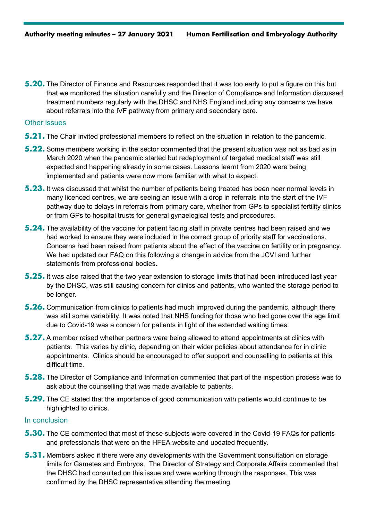**5.20.** The Director of Finance and Resources responded that it was too early to put a figure on this but that we monitored the situation carefully and the Director of Compliance and Information discussed treatment numbers regularly with the DHSC and NHS England including any concerns we have about referrals into the IVF pathway from primary and secondary care.

#### Other issues

- **5.21.** The Chair invited professional members to reflect on the situation in relation to the pandemic.
- **5.22.** Some members working in the sector commented that the present situation was not as bad as in March 2020 when the pandemic started but redeployment of targeted medical staff was still expected and happening already in some cases. Lessons learnt from 2020 were being implemented and patients were now more familiar with what to expect.
- **5.23.** It was discussed that whilst the number of patients being treated has been near normal levels in many licenced centres, we are seeing an issue with a drop in referrals into the start of the IVF pathway due to delays in referrals from primary care, whether from GPs to specialist fertility clinics or from GPs to hospital trusts for general gynaelogical tests and procedures.
- **5.24.** The availability of the vaccine for patient facing staff in private centres had been raised and we had worked to ensure they were included in the correct group of priority staff for vaccinations. Concerns had been raised from patients about the effect of the vaccine on fertility or in pregnancy. We had updated our FAQ on this following a change in advice from the JCVI and further statements from professional bodies.
- **5.25.** It was also raised that the two-year extension to storage limits that had been introduced last year by the DHSC, was still causing concern for clinics and patients, who wanted the storage period to be longer.
- **5.26.** Communication from clinics to patients had much improved during the pandemic, although there was still some variability. It was noted that NHS funding for those who had gone over the age limit due to Covid-19 was a concern for patients in light of the extended waiting times.
- **5.27.** A member raised whether partners were being allowed to attend appointments at clinics with patients. This varies by clinic, depending on their wider policies about attendance for in clinic appointments. Clinics should be encouraged to offer support and counselling to patients at this difficult time.
- **5.28.** The Director of Compliance and Information commented that part of the inspection process was to ask about the counselling that was made available to patients.
- **5.29.** The CE stated that the importance of good communication with patients would continue to be highlighted to clinics.

#### In conclusion

- **5.30.** The CE commented that most of these subjects were covered in the Covid-19 FAQs for patients and professionals that were on the HFEA website and updated frequently.
- **5.31.** Members asked if there were any developments with the Government consultation on storage limits for Gametes and Embryos. The Director of Strategy and Corporate Affairs commented that the DHSC had consulted on this issue and were working through the responses. This was confirmed by the DHSC representative attending the meeting.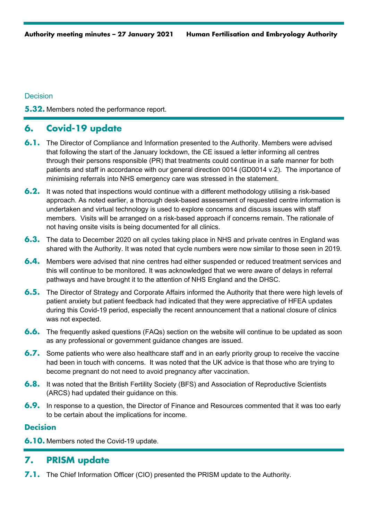### **Decision**

**5.32.** Members noted the performance report.

# **6. Covid-19 update**

- **6.1.** The Director of Compliance and Information presented to the Authority. Members were advised that following the start of the January lockdown, the CE issued a letter informing all centres through their persons responsible (PR) that treatments could continue in a safe manner for both patients and staff in accordance with our general direction 0014 (GD0014 v.2). The importance of minimising referrals into NHS emergency care was stressed in the statement.
- **6.2.** It was noted that inspections would continue with a different methodology utilising a risk-based approach. As noted earlier, a thorough desk-based assessment of requested centre information is undertaken and virtual technology is used to explore concerns and discuss issues with staff members. Visits will be arranged on a risk-based approach if concerns remain. The rationale of not having onsite visits is being documented for all clinics.
- **6.3.** The data to December 2020 on all cycles taking place in NHS and private centres in England was shared with the Authority. It was noted that cycle numbers were now similar to those seen in 2019.
- **6.4.** Members were advised that nine centres had either suspended or reduced treatment services and this will continue to be monitored. It was acknowledged that we were aware of delays in referral pathways and have brought it to the attention of NHS England and the DHSC.
- **6.5.** The Director of Strategy and Corporate Affairs informed the Authority that there were high levels of patient anxiety but patient feedback had indicated that they were appreciative of HFEA updates during this Covid-19 period, especially the recent announcement that a national closure of clinics was not expected.
- **6.6.** The frequently asked questions (FAQs) section on the website will continue to be updated as soon as any professional or government guidance changes are issued.
- **6.7.** Some patients who were also healthcare staff and in an early priority group to receive the vaccine had been in touch with concerns. It was noted that the UK advice is that those who are trying to become pregnant do not need to avoid pregnancy after vaccination.
- **6.8.** It was noted that the British Fertility Society (BFS) and Association of Reproductive Scientists (ARCS) had updated their guidance on this.
- **6.9.** In response to a question, the Director of Finance and Resources commented that it was too early to be certain about the implications for income.

## **Decision**

**6.10.** Members noted the Covid-19 update.

# **7. PRISM update**

**7.1.** The Chief Information Officer (CIO) presented the PRISM update to the Authority.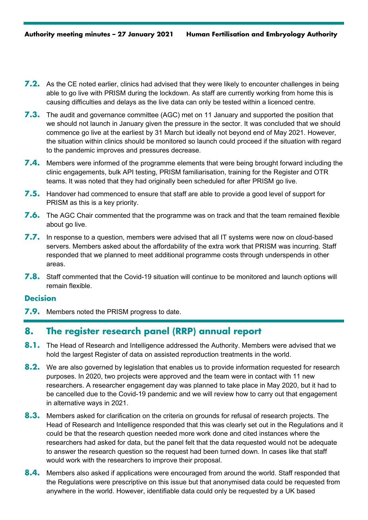- **7.2.** As the CE noted earlier, clinics had advised that they were likely to encounter challenges in being able to go live with PRISM during the lockdown. As staff are currently working from home this is causing difficulties and delays as the live data can only be tested within a licenced centre.
- **7.3.** The audit and governance committee (AGC) met on 11 January and supported the position that we should not launch in January given the pressure in the sector. It was concluded that we should commence go live at the earliest by 31 March but ideally not beyond end of May 2021. However, the situation within clinics should be monitored so launch could proceed if the situation with regard to the pandemic improves and pressures decrease.
- **7.4.** Members were informed of the programme elements that were being brought forward including the clinic engagements, bulk API testing, PRISM familiarisation, training for the Register and OTR teams. It was noted that they had originally been scheduled for after PRISM go live.
- **7.5.** Handover had commenced to ensure that staff are able to provide a good level of support for PRISM as this is a key priority.
- **7.6.** The AGC Chair commented that the programme was on track and that the team remained flexible about go live.
- **7.7.** In response to a question, members were advised that all IT systems were now on cloud-based servers. Members asked about the affordability of the extra work that PRISM was incurring. Staff responded that we planned to meet additional programme costs through underspends in other areas.
- **7.8.** Staff commented that the Covid-19 situation will continue to be monitored and launch options will remain flexible.

#### **Decision**

**7.9.** Members noted the PRISM progress to date.

# **8. The register research panel (RRP) annual report**

- **8.1.** The Head of Research and Intelligence addressed the Authority. Members were advised that we hold the largest Register of data on assisted reproduction treatments in the world.
- **8.2.** We are also governed by legislation that enables us to provide information requested for research purposes. In 2020, two projects were approved and the team were in contact with 11 new researchers. A researcher engagement day was planned to take place in May 2020, but it had to be cancelled due to the Covid-19 pandemic and we will review how to carry out that engagement in alternative ways in 2021.
- **8.3.** Members asked for clarification on the criteria on grounds for refusal of research projects. The Head of Research and Intelligence responded that this was clearly set out in the Regulations and it could be that the research question needed more work done and cited instances where the researchers had asked for data, but the panel felt that the data requested would not be adequate to answer the research question so the request had been turned down. In cases like that staff would work with the researchers to improve their proposal.
- **8.4.** Members also asked if applications were encouraged from around the world. Staff responded that the Regulations were prescriptive on this issue but that anonymised data could be requested from anywhere in the world. However, identifiable data could only be requested by a UK based